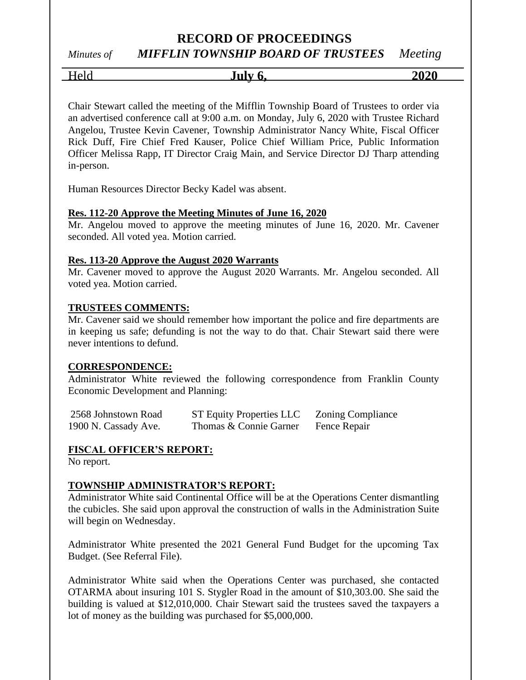## *Minutes of MIFFLIN TOWNSHIP BOARD OF TRUSTEES Meeting*

Held **July 6, 2020**

Chair Stewart called the meeting of the Mifflin Township Board of Trustees to order via an advertised conference call at 9:00 a.m. on Monday, July 6, 2020 with Trustee Richard Angelou, Trustee Kevin Cavener, Township Administrator Nancy White, Fiscal Officer Rick Duff, Fire Chief Fred Kauser, Police Chief William Price, Public Information Officer Melissa Rapp, IT Director Craig Main, and Service Director DJ Tharp attending in-person.

Human Resources Director Becky Kadel was absent.

## **Res. 112-20 Approve the Meeting Minutes of June 16, 2020**

Mr. Angelou moved to approve the meeting minutes of June 16, 2020. Mr. Cavener seconded. All voted yea. Motion carried.

#### **Res. 113-20 Approve the August 2020 Warrants**

Mr. Cavener moved to approve the August 2020 Warrants. Mr. Angelou seconded. All voted yea. Motion carried.

#### **TRUSTEES COMMENTS:**

Mr. Cavener said we should remember how important the police and fire departments are in keeping us safe; defunding is not the way to do that. Chair Stewart said there were never intentions to defund.

#### **CORRESPONDENCE:**

Administrator White reviewed the following correspondence from Franklin County Economic Development and Planning:

| 2568 Johnstown Road  | <b>ST Equity Properties LLC</b> | <b>Zoning Compliance</b> |
|----------------------|---------------------------------|--------------------------|
| 1900 N. Cassady Ave. | Thomas & Connie Garner          | Fence Repair             |

## **FISCAL OFFICER'S REPORT:**

No report.

## **TOWNSHIP ADMINISTRATOR'S REPORT:**

Administrator White said Continental Office will be at the Operations Center dismantling the cubicles. She said upon approval the construction of walls in the Administration Suite will begin on Wednesday.

Administrator White presented the 2021 General Fund Budget for the upcoming Tax Budget. (See Referral File).

Administrator White said when the Operations Center was purchased, she contacted OTARMA about insuring 101 S. Stygler Road in the amount of \$10,303.00. She said the building is valued at \$12,010,000. Chair Stewart said the trustees saved the taxpayers a lot of money as the building was purchased for \$5,000,000.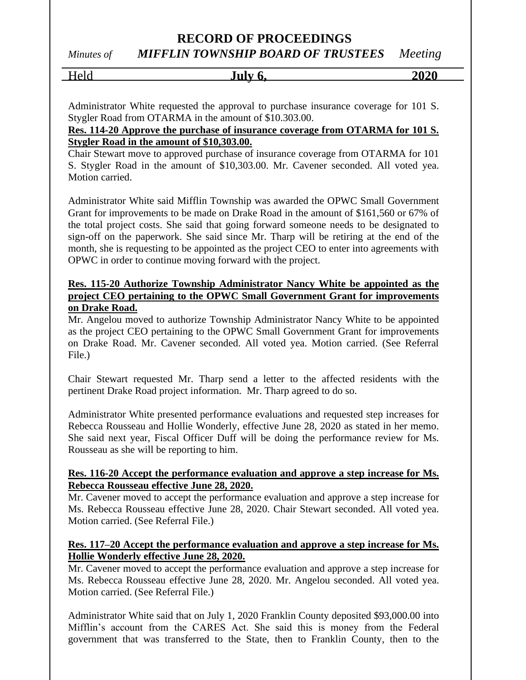*Minutes of MIFFLIN TOWNSHIP BOARD OF TRUSTEES Meeting*

| T<br>$\sim$ '<br>$\cdot$ | $\int$ uly $\ell$ | 2020<br>. |
|--------------------------|-------------------|-----------|
|                          |                   |           |

Administrator White requested the approval to purchase insurance coverage for 101 S. Stygler Road from OTARMA in the amount of \$10.303.00.

## **Res. 114-20 Approve the purchase of insurance coverage from OTARMA for 101 S. Stygler Road in the amount of \$10,303.00.**

Chair Stewart move to approved purchase of insurance coverage from OTARMA for 101 S. Stygler Road in the amount of \$10,303.00. Mr. Cavener seconded. All voted yea. Motion carried.

Administrator White said Mifflin Township was awarded the OPWC Small Government Grant for improvements to be made on Drake Road in the amount of \$161,560 or 67% of the total project costs. She said that going forward someone needs to be designated to sign-off on the paperwork. She said since Mr. Tharp will be retiring at the end of the month, she is requesting to be appointed as the project CEO to enter into agreements with OPWC in order to continue moving forward with the project.

## **Res. 115-20 Authorize Township Administrator Nancy White be appointed as the project CEO pertaining to the OPWC Small Government Grant for improvements on Drake Road.**

Mr. Angelou moved to authorize Township Administrator Nancy White to be appointed as the project CEO pertaining to the OPWC Small Government Grant for improvements on Drake Road. Mr. Cavener seconded. All voted yea. Motion carried. (See Referral File.)

Chair Stewart requested Mr. Tharp send a letter to the affected residents with the pertinent Drake Road project information. Mr. Tharp agreed to do so.

Administrator White presented performance evaluations and requested step increases for Rebecca Rousseau and Hollie Wonderly, effective June 28, 2020 as stated in her memo. She said next year, Fiscal Officer Duff will be doing the performance review for Ms. Rousseau as she will be reporting to him.

## **Res. 116-20 Accept the performance evaluation and approve a step increase for Ms. Rebecca Rousseau effective June 28, 2020.**

Mr. Cavener moved to accept the performance evaluation and approve a step increase for Ms. Rebecca Rousseau effective June 28, 2020. Chair Stewart seconded. All voted yea. Motion carried. (See Referral File.)

## **Res. 117–20 Accept the performance evaluation and approve a step increase for Ms. Hollie Wonderly effective June 28, 2020.**

Mr. Cavener moved to accept the performance evaluation and approve a step increase for Ms. Rebecca Rousseau effective June 28, 2020. Mr. Angelou seconded. All voted yea. Motion carried. (See Referral File.)

Administrator White said that on July 1, 2020 Franklin County deposited \$93,000.00 into Mifflin's account from the CARES Act. She said this is money from the Federal government that was transferred to the State, then to Franklin County, then to the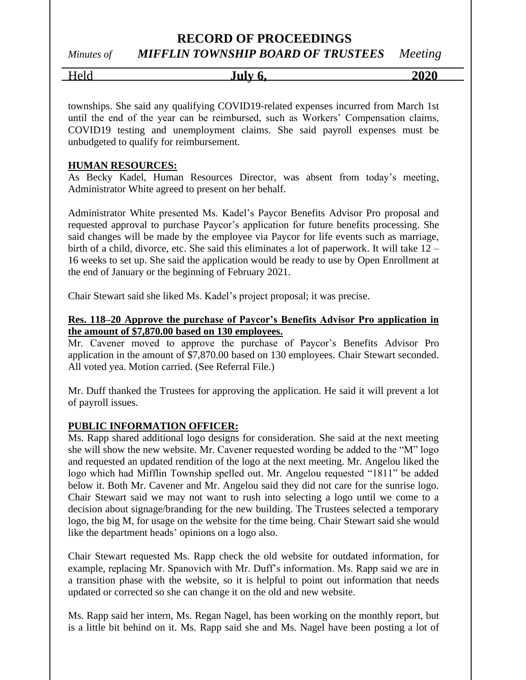*Minutes of MIFFLIN TOWNSHIP BOARD OF TRUSTEES Meeting*

Held **July 6, 2020**

townships. She said any qualifying COVID19-related expenses incurred from March 1st until the end of the year can be reimbursed, such as Workers' Compensation claims, COVID19 testing and unemployment claims. She said payroll expenses must be unbudgeted to qualify for reimbursement.

#### **HUMAN RESOURCES:**

As Becky Kadel, Human Resources Director, was absent from today's meeting, Administrator White agreed to present on her behalf.

Administrator White presented Ms. Kadel's Paycor Benefits Advisor Pro proposal and requested approval to purchase Paycor's application for future benefits processing. She said changes will be made by the employee via Paycor for life events such as marriage, birth of a child, divorce, etc. She said this eliminates a lot of paperwork. It will take 12 – 16 weeks to set up. She said the application would be ready to use by Open Enrollment at the end of January or the beginning of February 2021.

Chair Stewart said she liked Ms. Kadel's project proposal; it was precise.

#### **Res. 118–20 Approve the purchase of Paycor's Benefits Advisor Pro application in the amount of \$7,870.00 based on 130 employees.**

Mr. Cavener moved to approve the purchase of Paycor's Benefits Advisor Pro application in the amount of \$7,870.00 based on 130 employees. Chair Stewart seconded. All voted yea. Motion carried. (See Referral File.)

Mr. Duff thanked the Trustees for approving the application. He said it will prevent a lot of payroll issues.

## **PUBLIC INFORMATION OFFICER:**

Ms. Rapp shared additional logo designs for consideration. She said at the next meeting she will show the new website. Mr. Cavener requested wording be added to the "M" logo and requested an updated rendition of the logo at the next meeting. Mr. Angelou liked the logo which had Mifflin Township spelled out. Mr. Angelou requested "1811" be added below it. Both Mr. Cavener and Mr. Angelou said they did not care for the sunrise logo. Chair Stewart said we may not want to rush into selecting a logo until we come to a decision about signage/branding for the new building. The Trustees selected a temporary logo, the big M, for usage on the website for the time being. Chair Stewart said she would like the department heads' opinions on a logo also.

Chair Stewart requested Ms. Rapp check the old website for outdated information, for example, replacing Mr. Spanovich with Mr. Duff's information. Ms. Rapp said we are in a transition phase with the website, so it is helpful to point out information that needs updated or corrected so she can change it on the old and new website.

Ms. Rapp said her intern, Ms. Regan Nagel, has been working on the monthly report, but is a little bit behind on it. Ms. Rapp said she and Ms. Nagel have been posting a lot of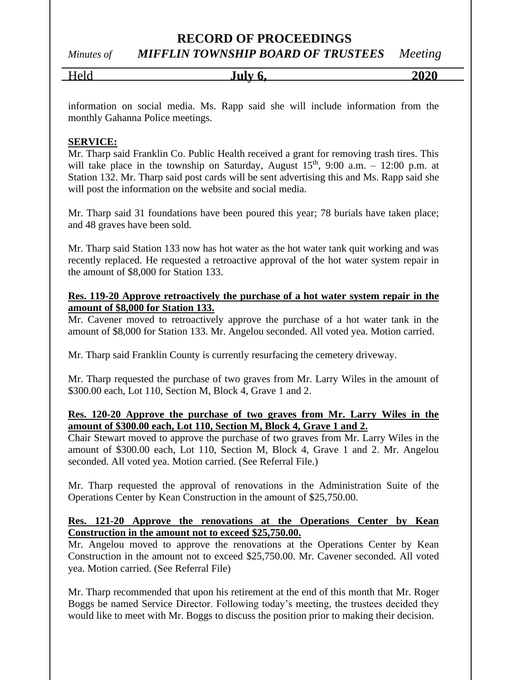*Minutes of MIFFLIN TOWNSHIP BOARD OF TRUSTEES Meeting*

| Held | July 6. | 2020 |
|------|---------|------|
|      |         |      |

information on social media. Ms. Rapp said she will include information from the monthly Gahanna Police meetings.

## **SERVICE:**

Mr. Tharp said Franklin Co. Public Health received a grant for removing trash tires. This will take place in the township on Saturday, August  $15<sup>th</sup>$ , 9:00 a.m. – 12:00 p.m. at Station 132. Mr. Tharp said post cards will be sent advertising this and Ms. Rapp said she will post the information on the website and social media.

Mr. Tharp said 31 foundations have been poured this year; 78 burials have taken place; and 48 graves have been sold.

Mr. Tharp said Station 133 now has hot water as the hot water tank quit working and was recently replaced. He requested a retroactive approval of the hot water system repair in the amount of \$8,000 for Station 133.

**Res. 119-20 Approve retroactively the purchase of a hot water system repair in the amount of \$8,000 for Station 133.**

Mr. Cavener moved to retroactively approve the purchase of a hot water tank in the amount of \$8,000 for Station 133. Mr. Angelou seconded. All voted yea. Motion carried.

Mr. Tharp said Franklin County is currently resurfacing the cemetery driveway.

Mr. Tharp requested the purchase of two graves from Mr. Larry Wiles in the amount of \$300.00 each, Lot 110, Section M, Block 4, Grave 1 and 2.

## **Res. 120-20 Approve the purchase of two graves from Mr. Larry Wiles in the amount of \$300.00 each, Lot 110, Section M, Block 4, Grave 1 and 2.**

Chair Stewart moved to approve the purchase of two graves from Mr. Larry Wiles in the amount of \$300.00 each, Lot 110, Section M, Block 4, Grave 1 and 2. Mr. Angelou seconded. All voted yea. Motion carried. (See Referral File.)

Mr. Tharp requested the approval of renovations in the Administration Suite of the Operations Center by Kean Construction in the amount of \$25,750.00.

## **Res. 121-20 Approve the renovations at the Operations Center by Kean Construction in the amount not to exceed \$25,750.00.**

Mr. Angelou moved to approve the renovations at the Operations Center by Kean Construction in the amount not to exceed \$25,750.00. Mr. Cavener seconded. All voted yea. Motion carried. (See Referral File)

Mr. Tharp recommended that upon his retirement at the end of this month that Mr. Roger Boggs be named Service Director. Following today's meeting, the trustees decided they would like to meet with Mr. Boggs to discuss the position prior to making their decision.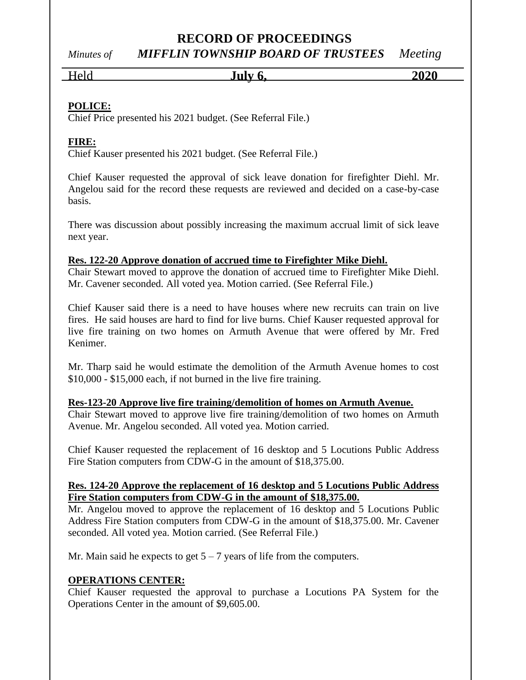# *Minutes of MIFFLIN TOWNSHIP BOARD OF TRUSTEES Meeting*

Held **July 6, 2020**

## **POLICE:**

Chief Price presented his 2021 budget. (See Referral File.)

# **FIRE:**

Chief Kauser presented his 2021 budget. (See Referral File.)

Chief Kauser requested the approval of sick leave donation for firefighter Diehl. Mr. Angelou said for the record these requests are reviewed and decided on a case-by-case basis.

There was discussion about possibly increasing the maximum accrual limit of sick leave next year.

## **Res. 122-20 Approve donation of accrued time to Firefighter Mike Diehl.**

Chair Stewart moved to approve the donation of accrued time to Firefighter Mike Diehl. Mr. Cavener seconded. All voted yea. Motion carried. (See Referral File.)

Chief Kauser said there is a need to have houses where new recruits can train on live fires. He said houses are hard to find for live burns. Chief Kauser requested approval for live fire training on two homes on Armuth Avenue that were offered by Mr. Fred Kenimer.

Mr. Tharp said he would estimate the demolition of the Armuth Avenue homes to cost \$10,000 - \$15,000 each, if not burned in the live fire training.

## **Res-123-20 Approve live fire training/demolition of homes on Armuth Avenue.**

Chair Stewart moved to approve live fire training/demolition of two homes on Armuth Avenue. Mr. Angelou seconded. All voted yea. Motion carried.

Chief Kauser requested the replacement of 16 desktop and 5 Locutions Public Address Fire Station computers from CDW-G in the amount of \$18,375.00.

## **Res. 124-20 Approve the replacement of 16 desktop and 5 Locutions Public Address Fire Station computers from CDW-G in the amount of \$18,375.00.**

Mr. Angelou moved to approve the replacement of 16 desktop and 5 Locutions Public Address Fire Station computers from CDW-G in the amount of \$18,375.00. Mr. Cavener seconded. All voted yea. Motion carried. (See Referral File.)

Mr. Main said he expects to get  $5 - 7$  years of life from the computers.

## **OPERATIONS CENTER:**

Chief Kauser requested the approval to purchase a Locutions PA System for the Operations Center in the amount of \$9,605.00.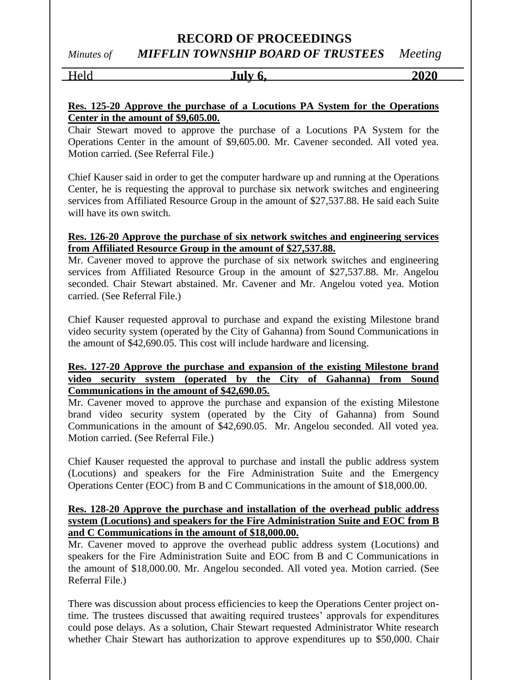*Minutes of MIFFLIN TOWNSHIP BOARD OF TRUSTEES Meeting*

| Held | July 6. | 2020 |
|------|---------|------|
|      |         |      |

## **Res. 125-20 Approve the purchase of a Locutions PA System for the Operations Center in the amount of \$9,605.00.**

Chair Stewart moved to approve the purchase of a Locutions PA System for the Operations Center in the amount of \$9,605.00. Mr. Cavener seconded. All voted yea. Motion carried. (See Referral File.)

Chief Kauser said in order to get the computer hardware up and running at the Operations Center, he is requesting the approval to purchase six network switches and engineering services from Affiliated Resource Group in the amount of \$27,537.88. He said each Suite will have its own switch.

## **Res. 126-20 Approve the purchase of six network switches and engineering services from Affiliated Resource Group in the amount of \$27,537.88.**

Mr. Cavener moved to approve the purchase of six network switches and engineering services from Affiliated Resource Group in the amount of \$27,537.88. Mr. Angelou seconded. Chair Stewart abstained. Mr. Cavener and Mr. Angelou voted yea. Motion carried. (See Referral File.)

Chief Kauser requested approval to purchase and expand the existing Milestone brand video security system (operated by the City of Gahanna) from Sound Communications in the amount of \$42,690.05. This cost will include hardware and licensing.

## **Res. 127-20 Approve the purchase and expansion of the existing Milestone brand video security system (operated by the City of Gahanna) from Sound Communications in the amount of \$42,690.05.**

Mr. Cavener moved to approve the purchase and expansion of the existing Milestone brand video security system (operated by the City of Gahanna) from Sound Communications in the amount of \$42,690.05. Mr. Angelou seconded. All voted yea. Motion carried. (See Referral File.)

Chief Kauser requested the approval to purchase and install the public address system (Locutions) and speakers for the Fire Administration Suite and the Emergency Operations Center (EOC) from B and C Communications in the amount of \$18,000.00.

## **Res. 128-20 Approve the purchase and installation of the overhead public address system (Locutions) and speakers for the Fire Administration Suite and EOC from B and C Communications in the amount of \$18,000.00.**

Mr. Cavener moved to approve the overhead public address system (Locutions) and speakers for the Fire Administration Suite and EOC from B and C Communications in the amount of \$18,000.00. Mr. Angelou seconded. All voted yea. Motion carried. (See Referral File.)

There was discussion about process efficiencies to keep the Operations Center project ontime. The trustees discussed that awaiting required trustees' approvals for expenditures could pose delays. As a solution, Chair Stewart requested Administrator White research whether Chair Stewart has authorization to approve expenditures up to \$50,000. Chair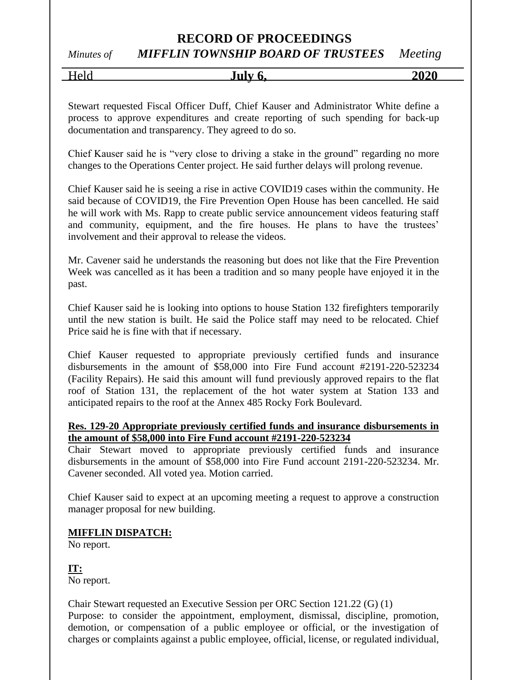## *Minutes of MIFFLIN TOWNSHIP BOARD OF TRUSTEES Meeting*

| _<br>-<br>------ | T. . 1.<br>$\mathbf{u}$<br>ີ | $\sim$ $\sim$<br>-- |
|------------------|------------------------------|---------------------|
|                  |                              |                     |

Stewart requested Fiscal Officer Duff, Chief Kauser and Administrator White define a process to approve expenditures and create reporting of such spending for back-up documentation and transparency. They agreed to do so.

Chief Kauser said he is "very close to driving a stake in the ground" regarding no more changes to the Operations Center project. He said further delays will prolong revenue.

Chief Kauser said he is seeing a rise in active COVID19 cases within the community. He said because of COVID19, the Fire Prevention Open House has been cancelled. He said he will work with Ms. Rapp to create public service announcement videos featuring staff and community, equipment, and the fire houses. He plans to have the trustees' involvement and their approval to release the videos.

Mr. Cavener said he understands the reasoning but does not like that the Fire Prevention Week was cancelled as it has been a tradition and so many people have enjoyed it in the past.

Chief Kauser said he is looking into options to house Station 132 firefighters temporarily until the new station is built. He said the Police staff may need to be relocated. Chief Price said he is fine with that if necessary.

Chief Kauser requested to appropriate previously certified funds and insurance disbursements in the amount of \$58,000 into Fire Fund account #2191-220-523234 (Facility Repairs). He said this amount will fund previously approved repairs to the flat roof of Station 131, the replacement of the hot water system at Station 133 and anticipated repairs to the roof at the Annex 485 Rocky Fork Boulevard.

## **Res. 129-20 Appropriate previously certified funds and insurance disbursements in the amount of \$58,000 into Fire Fund account #2191-220-523234**

Chair Stewart moved to appropriate previously certified funds and insurance disbursements in the amount of \$58,000 into Fire Fund account 2191-220-523234. Mr. Cavener seconded. All voted yea. Motion carried.

Chief Kauser said to expect at an upcoming meeting a request to approve a construction manager proposal for new building.

## **MIFFLIN DISPATCH:**

No report.

**IT:**

No report.

Chair Stewart requested an Executive Session per ORC Section 121.22 (G) (1) Purpose: to consider the appointment, employment, dismissal, discipline, promotion, demotion, or compensation of a public employee or official, or the investigation of charges or complaints against a public employee, official, license, or regulated individual,